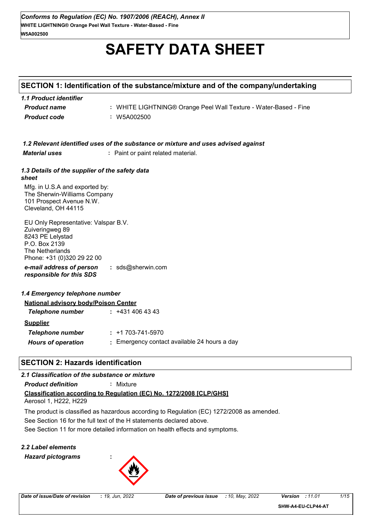# **SAFETY DATA SHEET**

#### **SECTION 1: Identification of the substance/mixture and of the company/undertaking**

| 1.1 Product identifier |                                                                  |
|------------------------|------------------------------------------------------------------|
| <b>Product name</b>    | : WHITE LIGHTNING® Orange Peel Wall Texture - Water-Based - Fine |
| <b>Product code</b>    | : W5A002500                                                      |

| 1.2 Relevant identified uses of the substance or mixture and uses advised against |
|-----------------------------------------------------------------------------------|
|-----------------------------------------------------------------------------------|

*Material uses* **:** Paint or paint related material.

#### *1.3 Details of the supplier of the safety data sheet*

Mfg. in U.S.A and exported by: The Sherwin-Williams Company 101 Prospect Avenue N.W. Cleveland, OH 44115

*e-mail address of person responsible for this SDS* **:** sds@sherwin.com EU Only Representative: Valspar B.V. Zuiveringweg 89 8243 PE Lelystad P.O. Box 2139 The Netherlands Phone: +31 (0)320 29 22 00

#### *1.4 Emergency telephone number*

| <b>National advisory body/Poison Center</b> |                                              |  |
|---------------------------------------------|----------------------------------------------|--|
| Telephone number                            | : 4314064343                                 |  |
| <b>Supplier</b>                             |                                              |  |
| Telephone number                            | $: +1703-741-5970$                           |  |
| <b>Hours of operation</b>                   | : Emergency contact available 24 hours a day |  |

### **SECTION 2: Hazards identification**

#### *2.1 Classification of the substance or mixture*

*Product definition* **:** Mixture

## **Classification according to Regulation (EC) No. 1272/2008 [CLP/GHS]**

Aerosol 1, H222, H229

See Section 16 for the full text of the H statements declared above. The product is classified as hazardous according to Regulation (EC) 1272/2008 as amended.

See Section 11 for more detailed information on health effects and symptoms.

#### *2.2 Label elements Hazard pictograms* **:**

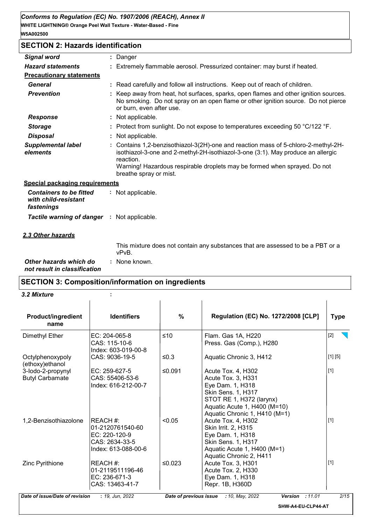#### **SECTION 2: Hazards identification**

| <b>Signal word</b>                                                   | ÷ | Danger                                                                                                                                                                                                                                                                                   |
|----------------------------------------------------------------------|---|------------------------------------------------------------------------------------------------------------------------------------------------------------------------------------------------------------------------------------------------------------------------------------------|
| <b>Hazard statements</b>                                             |   | Extremely flammable aerosol. Pressurized container: may burst if heated.                                                                                                                                                                                                                 |
| <b>Precautionary statements</b>                                      |   |                                                                                                                                                                                                                                                                                          |
| <b>General</b>                                                       |   | : Read carefully and follow all instructions. Keep out of reach of children.                                                                                                                                                                                                             |
| <b>Prevention</b>                                                    |   | Keep away from heat, hot surfaces, sparks, open flames and other ignition sources.<br>No smoking. Do not spray on an open flame or other ignition source. Do not pierce<br>or burn, even after use.                                                                                      |
| <b>Response</b>                                                      |   | : Not applicable.                                                                                                                                                                                                                                                                        |
| <b>Storage</b>                                                       |   | Protect from sunlight. Do not expose to temperatures exceeding 50 °C/122 °F.                                                                                                                                                                                                             |
| <b>Disposal</b>                                                      |   | Not applicable.                                                                                                                                                                                                                                                                          |
| <b>Supplemental label</b><br>elements                                |   | Contains 1,2-benzisothiazol-3(2H)-one and reaction mass of 5-chloro-2-methyl-2H-<br>isothiazol-3-one and 2-methyl-2H-isothiazol-3-one (3:1). May produce an allergic<br>reaction.<br>Warning! Hazardous respirable droplets may be formed when sprayed. Do not<br>breathe spray or mist. |
| <b>Special packaging requirements</b>                                |   |                                                                                                                                                                                                                                                                                          |
| <b>Containers to be fitted</b><br>with child-resistant<br>fastenings |   | : Not applicable.                                                                                                                                                                                                                                                                        |
| <b>Tactile warning of danger : Not applicable.</b>                   |   |                                                                                                                                                                                                                                                                                          |
| <u>2.3 Other hazards</u>                                             |   |                                                                                                                                                                                                                                                                                          |
|                                                                      |   | The contraction of the contract of the contract of the contract of the first and contract of the first of the<br><u>nn+</u>                                                                                                                                                              |

This mixture does not contain any substances that are assessed to be a PBT or a vPvB.

*Other hazards which do* **:** *not result in classification* : None known.

#### **SECTION 3: Composition/information on ingredients**

*3.2 Mixture* **:**

| <b>Product/ingredient</b><br>name           | <b>Identifiers</b>                                                                     | %       | Regulation (EC) No. 1272/2008 [CLP]                                                                                                                                             | <b>Type</b> |
|---------------------------------------------|----------------------------------------------------------------------------------------|---------|---------------------------------------------------------------------------------------------------------------------------------------------------------------------------------|-------------|
| Dimethyl Ether                              | EC: 204-065-8<br>CAS: 115-10-6<br>Index: 603-019-00-8                                  | $≤10$   | Flam. Gas 1A, H220<br>Press. Gas (Comp.), H280                                                                                                                                  | $[2]$       |
| Octylphenoxypoly<br>(ethoxy)ethanol         | CAS: 9036-19-5                                                                         | ≤ $0.3$ | Aquatic Chronic 3, H412                                                                                                                                                         | [1] [5]     |
| 3-lodo-2-propynyl<br><b>Butyl Carbamate</b> | $EC: 259-627-5$<br>CAS: 55406-53-6<br>Index: 616-212-00-7                              | ≤0.091  | Acute Tox. 4, H302<br>Acute Tox. 3, H331<br>Eye Dam. 1, H318<br>Skin Sens. 1, H317<br>STOT RE 1, H372 (larynx)<br>Aquatic Acute 1, H400 (M=10)<br>Aquatic Chronic 1, H410 (M=1) | $[1]$       |
| 1,2-Benzisothiazolone                       | REACH #:<br>01-2120761540-60<br>EC: 220-120-9<br>CAS: 2634-33-5<br>Index: 613-088-00-6 | < 0.05  | Acute Tox. 4, H302<br>Skin Irrit. 2, H315<br>Eye Dam. 1, H318<br>Skin Sens. 1, H317<br>Aquatic Acute 1, H400 (M=1)<br>Aquatic Chronic 2, H411                                   | $[1]$       |
| Zinc Pyrithione                             | REACH #:<br>01-2119511196-46<br>EC: 236-671-3<br>CAS: 13463-41-7                       | ≤0.023  | Acute Tox. 3, H301<br>Acute Tox. 2, H330<br>Eye Dam. 1, H318<br>Repr. 1B, H360D                                                                                                 | $[1]$       |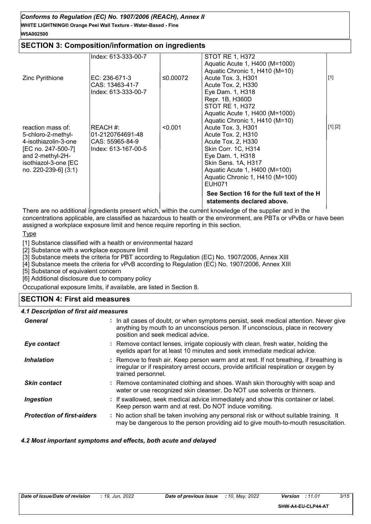#### **WHITE LIGHTNING® Orange Peel Wall Texture - Water-Based - Fine** *Conforms to Regulation (EC) No. 1907/2006 (REACH), Annex II* **W5A002500**

#### **SECTION 3: Composition/information on ingredients**

|                                                                                                                                                           | Index: 613-333-00-7                                                    |          | <b>STOT RE 1, H372</b><br>Aquatic Acute 1, H400 (M=1000)                                                                                                                                                                                         |         |
|-----------------------------------------------------------------------------------------------------------------------------------------------------------|------------------------------------------------------------------------|----------|--------------------------------------------------------------------------------------------------------------------------------------------------------------------------------------------------------------------------------------------------|---------|
| Zinc Pyrithione                                                                                                                                           | EC: 236-671-3<br>CAS: 13463-41-7<br>Index: 613-333-00-7                | ≤0.00072 | Aquatic Chronic 1, H410 (M=10)<br>Acute Tox. 3, H301<br>Acute Tox. 2, H330<br>Eye Dam. 1, H318<br>Repr. 1B, H360D<br><b>STOT RE 1, H372</b><br>Aquatic Acute 1, H400 (M=1000)                                                                    | $[1]$   |
| reaction mass of:<br>5-chloro-2-methyl-<br>4-isothiazolin-3-one<br>[EC no. 247-500-7]<br>and 2-methyl-2H-<br>isothiazol-3-one [EC<br>no. 220-239-6] (3:1) | REACH #:<br>01-2120764691-48<br>CAS: 55965-84-9<br>Index: 613-167-00-5 | < 0.001  | Aquatic Chronic 1, H410 (M=10)<br>Acute Tox. 3, H301<br>Acute Tox. 2, H310<br>Acute Tox. 2, H330<br>Skin Corr. 1C, H314<br>Eye Dam. 1, H318<br>Skin Sens. 1A, H317<br>Aquatic Acute 1, H400 (M=100)<br>Aquatic Chronic 1, H410 (M=100)<br>EUH071 | [1] [2] |
|                                                                                                                                                           |                                                                        |          | See Section 16 for the full text of the H<br>statements declared above.                                                                                                                                                                          |         |

There are no additional ingredients present which, within the current knowledge of the supplier and in the concentrations applicable, are classified as hazardous to health or the environment, are PBTs or vPvBs or have been assigned a workplace exposure limit and hence require reporting in this section.

**Type** 

[1] Substance classified with a health or environmental hazard

[2] Substance with a workplace exposure limit

[3] Substance meets the criteria for PBT according to Regulation (EC) No. 1907/2006, Annex XIII

[4] Substance meets the criteria for vPvB according to Regulation (EC) No. 1907/2006, Annex XIII

[5] Substance of equivalent concern

[6] Additional disclosure due to company policy

Occupational exposure limits, if available, are listed in Section 8.

#### **SECTION 4: First aid measures**

#### *4.1 Description of first aid measures*

| General                           | : In all cases of doubt, or when symptoms persist, seek medical attention. Never give<br>anything by mouth to an unconscious person. If unconscious, place in recovery<br>position and seek medical advice. |
|-----------------------------------|-------------------------------------------------------------------------------------------------------------------------------------------------------------------------------------------------------------|
| Eye contact                       | : Remove contact lenses, irrigate copiously with clean, fresh water, holding the<br>eyelids apart for at least 10 minutes and seek immediate medical advice.                                                |
| <i><b>Inhalation</b></i>          | : Remove to fresh air. Keep person warm and at rest. If not breathing, if breathing is<br>irregular or if respiratory arrest occurs, provide artificial respiration or oxygen by<br>trained personnel.      |
| <b>Skin contact</b>               | : Remove contaminated clothing and shoes. Wash skin thoroughly with soap and<br>water or use recognized skin cleanser. Do NOT use solvents or thinners.                                                     |
| <b>Ingestion</b>                  | : If swallowed, seek medical advice immediately and show this container or label.<br>Keep person warm and at rest. Do NOT induce vomiting.                                                                  |
| <b>Protection of first-aiders</b> | : No action shall be taken involving any personal risk or without suitable training. It<br>may be dangerous to the person providing aid to give mouth-to-mouth resuscitation.                               |

#### *4.2 Most important symptoms and effects, both acute and delayed*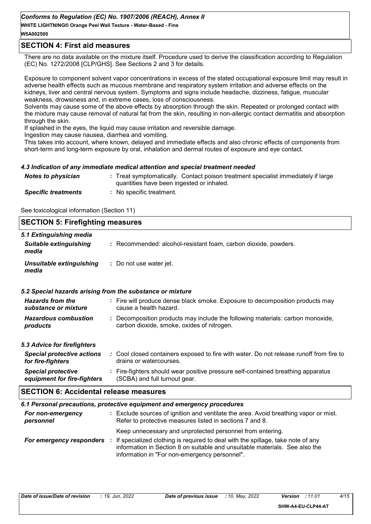#### *Conforms to Regulation (EC) No. 1907/2006 (REACH), Annex II*

**WHITE LIGHTNING® Orange Peel Wall Texture - Water-Based - Fine W5A002500**

#### **SECTION 4: First aid measures**

There are no data available on the mixture itself. Procedure used to derive the classification according to Regulation (EC) No. 1272/2008 [CLP/GHS]. See Sections 2 and 3 for details.

Exposure to component solvent vapor concentrations in excess of the stated occupational exposure limit may result in adverse health effects such as mucous membrane and respiratory system irritation and adverse effects on the kidneys, liver and central nervous system. Symptoms and signs include headache, dizziness, fatigue, muscular weakness, drowsiness and, in extreme cases, loss of consciousness.

Solvents may cause some of the above effects by absorption through the skin. Repeated or prolonged contact with the mixture may cause removal of natural fat from the skin, resulting in non-allergic contact dermatitis and absorption through the skin.

If splashed in the eyes, the liquid may cause irritation and reversible damage.

Ingestion may cause nausea, diarrhea and vomiting.

This takes into account, where known, delayed and immediate effects and also chronic effects of components from short-term and long-term exposure by oral, inhalation and dermal routes of exposure and eye contact.

#### *4.3 Indication of any immediate medical attention and special treatment needed*

| <b>Notes to physician</b>  | : Treat symptomatically. Contact poison treatment specialist immediately if large<br>quantities have been ingested or inhaled. |
|----------------------------|--------------------------------------------------------------------------------------------------------------------------------|
| <b>Specific treatments</b> | No specific treatment.                                                                                                         |

See toxicological information (Section 11)

| <b>SECTION 5: Firefighting measures</b>                           |                                                                                                                                                                |  |  |  |
|-------------------------------------------------------------------|----------------------------------------------------------------------------------------------------------------------------------------------------------------|--|--|--|
| 5.1 Extinguishing media<br><b>Suitable extinguishing</b><br>media | : Recommended: alcohol-resistant foam, carbon dioxide, powders.                                                                                                |  |  |  |
| Unsuitable extinguishing<br>media                                 | : Do not use water jet.                                                                                                                                        |  |  |  |
|                                                                   | 5.2 Special hazards arising from the substance or mixture                                                                                                      |  |  |  |
| <b>Hazards from the</b><br>substance or mixture                   | : Fire will produce dense black smoke. Exposure to decomposition products may<br>cause a health hazard.                                                        |  |  |  |
| <b>Hazardous combustion</b><br>products                           | : Decomposition products may include the following materials: carbon monoxide,<br>carbon dioxide, smoke, oxides of nitrogen.                                   |  |  |  |
| 5.3 Advice for firefighters                                       |                                                                                                                                                                |  |  |  |
| <b>Special protective actions</b><br>for fire-fighters            | : Cool closed containers exposed to fire with water. Do not release runoff from fire to<br>drains or watercourses.                                             |  |  |  |
| <b>Special protective</b><br>equipment for fire-fighters          | : Fire-fighters should wear positive pressure self-contained breathing apparatus<br>(SCBA) and full turnout gear.                                              |  |  |  |
| <b>SECTION 6: Accidental release measures</b>                     |                                                                                                                                                                |  |  |  |
|                                                                   | 6.1 Personal precautions, protective equipment and emergency procedures                                                                                        |  |  |  |
| For non-emergency<br>personnel                                    | : Exclude sources of ignition and ventilate the area. Avoid breathing vapor or mist.<br>Refer to protective measures listed in sections 7 and 8.               |  |  |  |
|                                                                   | Keep unnecessary and unprotected personnel from entering.                                                                                                      |  |  |  |
| For emergency responders :                                        | If specialized clothing is required to deal with the spillage, take note of any<br>information in Section 8 on suitable and unsuitable materials. See also the |  |  |  |

information in "For non-emergency personnel".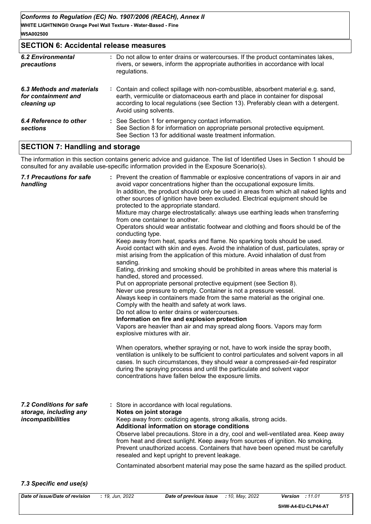#### **SECTION 6: Accidental release measures**

| <b>6.2 Environmental</b><br>precautions                         | : Do not allow to enter drains or watercourses. If the product contaminates lakes,<br>rivers, or sewers, inform the appropriate authorities in accordance with local<br>regulations.                                                                                               |
|-----------------------------------------------------------------|------------------------------------------------------------------------------------------------------------------------------------------------------------------------------------------------------------------------------------------------------------------------------------|
| 6.3 Methods and materials<br>for containment and<br>cleaning up | : Contain and collect spillage with non-combustible, absorbent material e.g. sand,<br>earth, vermiculite or diatomaceous earth and place in container for disposal<br>according to local regulations (see Section 13). Preferably clean with a detergent.<br>Avoid using solvents. |
| 6.4 Reference to other<br>sections                              | : See Section 1 for emergency contact information.<br>See Section 8 for information on appropriate personal protective equipment.<br>See Section 13 for additional waste treatment information.                                                                                    |

#### **SECTION 7: Handling and storage**

The information in this section contains generic advice and guidance. The list of Identified Uses in Section 1 should be consulted for any available use-specific information provided in the Exposure Scenario(s).

| <b>7.1 Precautions for safe</b><br>handling                            | : Prevent the creation of flammable or explosive concentrations of vapors in air and<br>avoid vapor concentrations higher than the occupational exposure limits.<br>In addition, the product should only be used in areas from which all naked lights and<br>other sources of ignition have been excluded. Electrical equipment should be<br>protected to the appropriate standard.<br>Mixture may charge electrostatically: always use earthing leads when transferring<br>from one container to another.<br>Operators should wear antistatic footwear and clothing and floors should be of the<br>conducting type.<br>Keep away from heat, sparks and flame. No sparking tools should be used.<br>Avoid contact with skin and eyes. Avoid the inhalation of dust, particulates, spray or<br>mist arising from the application of this mixture. Avoid inhalation of dust from<br>sanding.<br>Eating, drinking and smoking should be prohibited in areas where this material is<br>handled, stored and processed.<br>Put on appropriate personal protective equipment (see Section 8).<br>Never use pressure to empty. Container is not a pressure vessel.<br>Always keep in containers made from the same material as the original one.<br>Comply with the health and safety at work laws.<br>Do not allow to enter drains or watercourses.<br>Information on fire and explosion protection<br>Vapors are heavier than air and may spread along floors. Vapors may form<br>explosive mixtures with air.<br>When operators, whether spraying or not, have to work inside the spray booth,<br>ventilation is unlikely to be sufficient to control particulates and solvent vapors in all<br>cases. In such circumstances, they should wear a compressed-air-fed respirator<br>during the spraying process and until the particulate and solvent vapor<br>concentrations have fallen below the exposure limits. |
|------------------------------------------------------------------------|---------------------------------------------------------------------------------------------------------------------------------------------------------------------------------------------------------------------------------------------------------------------------------------------------------------------------------------------------------------------------------------------------------------------------------------------------------------------------------------------------------------------------------------------------------------------------------------------------------------------------------------------------------------------------------------------------------------------------------------------------------------------------------------------------------------------------------------------------------------------------------------------------------------------------------------------------------------------------------------------------------------------------------------------------------------------------------------------------------------------------------------------------------------------------------------------------------------------------------------------------------------------------------------------------------------------------------------------------------------------------------------------------------------------------------------------------------------------------------------------------------------------------------------------------------------------------------------------------------------------------------------------------------------------------------------------------------------------------------------------------------------------------------------------------------------------------------------------------------------------------------------------------------------|
| 7.2 Conditions for safe<br>storage, including any<br>incompatibilities | : Store in accordance with local regulations.<br>Notes on joint storage<br>Keep away from: oxidizing agents, strong alkalis, strong acids.<br>Additional information on storage conditions<br>Observe label precautions. Store in a dry, cool and well-ventilated area. Keep away<br>from heat and direct sunlight. Keep away from sources of ignition. No smoking.<br>Prevent unauthorized access. Containers that have been opened must be carefully<br>resealed and kept upright to prevent leakage.<br>Contaminated absorbent material may pose the same hazard as the spilled product.                                                                                                                                                                                                                                                                                                                                                                                                                                                                                                                                                                                                                                                                                                                                                                                                                                                                                                                                                                                                                                                                                                                                                                                                                                                                                                                   |
|                                                                        |                                                                                                                                                                                                                                                                                                                                                                                                                                                                                                                                                                                                                                                                                                                                                                                                                                                                                                                                                                                                                                                                                                                                                                                                                                                                                                                                                                                                                                                                                                                                                                                                                                                                                                                                                                                                                                                                                                               |

#### *7.3 Specific end use(s)*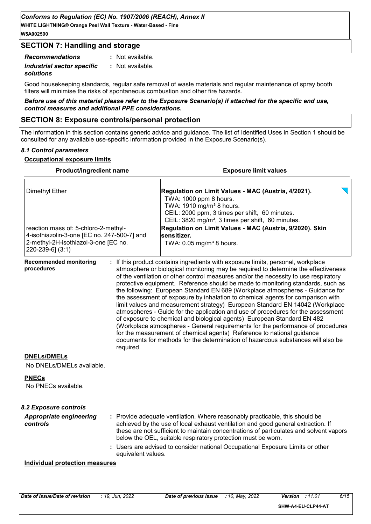**W5A002500**

#### **SECTION 7: Handling and storage**

*Recommendations* **:** *Industrial sector specific* **:** *solutions* : Not available. : Not available.

Good housekeeping standards, regular safe removal of waste materials and regular maintenance of spray booth filters will minimise the risks of spontaneous combustion and other fire hazards.

*Before use of this material please refer to the Exposure Scenario(s) if attached for the specific end use, control measures and additional PPE considerations.*

#### **SECTION 8: Exposure controls/personal protection**

The information in this section contains generic advice and guidance. The list of Identified Uses in Section 1 should be consulted for any available use-specific information provided in the Exposure Scenario(s).

#### *8.1 Control parameters*

#### **Occupational exposure limits**

| <b>Product/ingredient name</b>                                                                                                                                                                                                       |  | <b>Exposure limit values</b>                                                                                                                                                                                                                                                                                                                                |  |  |
|--------------------------------------------------------------------------------------------------------------------------------------------------------------------------------------------------------------------------------------|--|-------------------------------------------------------------------------------------------------------------------------------------------------------------------------------------------------------------------------------------------------------------------------------------------------------------------------------------------------------------|--|--|
| <b>Dimethyl Ether</b><br>reaction mass of: 5-chloro-2-methyl-<br>4-isothiazolin-3-one [EC no. 247-500-7] and<br>2-methyl-2H-isothiazol-3-one [EC no.<br>220-239-6] (3:1)<br><b>Recommended monitoring</b><br>procedures<br>required. |  | Regulation on Limit Values - MAC (Austria, 4/2021).<br>TWA: 1000 ppm 8 hours.<br>TWA: 1910 mg/m <sup>3</sup> 8 hours.<br>CEIL: 2000 ppm, 3 times per shift, 60 minutes.<br>CEIL: 3820 mg/m <sup>3</sup> , 3 times per shift, 60 minutes.<br>Regulation on Limit Values - MAC (Austria, 9/2020). Skin<br>sensitizer.<br>TWA: 0.05 mg/m <sup>3</sup> 8 hours. |  |  |
|                                                                                                                                                                                                                                      |  |                                                                                                                                                                                                                                                                                                                                                             |  |  |
|                                                                                                                                                                                                                                      |  | <b>DNELs/DMELs</b><br>No DNELs/DMELs available.                                                                                                                                                                                                                                                                                                             |  |  |
| <b>PNECs</b><br>No PNECs available.                                                                                                                                                                                                  |  |                                                                                                                                                                                                                                                                                                                                                             |  |  |
| 8.2 Exposure controls                                                                                                                                                                                                                |  |                                                                                                                                                                                                                                                                                                                                                             |  |  |
| <b>Appropriate engineering</b><br>controls<br>equivalent values.                                                                                                                                                                     |  | : Provide adequate ventilation. Where reasonably practicable, this should be<br>achieved by the use of local exhaust ventilation and good general extraction. If<br>these are not sufficient to maintain concentrations of particulates and solvent vapors<br>below the OEL, suitable respiratory protection must be worn.                                  |  |  |
|                                                                                                                                                                                                                                      |  | : Users are advised to consider national Occupational Exposure Limits or other                                                                                                                                                                                                                                                                              |  |  |
| <b>Individual protection measures</b>                                                                                                                                                                                                |  |                                                                                                                                                                                                                                                                                                                                                             |  |  |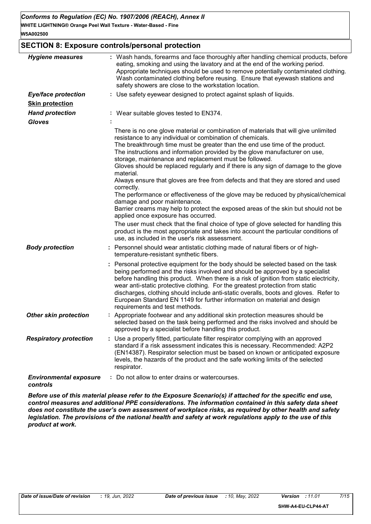#### **SECTION 8: Exposure controls/personal protection**

| <b>Hygiene measures</b>                   | : Wash hands, forearms and face thoroughly after handling chemical products, before<br>eating, smoking and using the lavatory and at the end of the working period.<br>Appropriate techniques should be used to remove potentially contaminated clothing.<br>Wash contaminated clothing before reusing. Ensure that eyewash stations and<br>safety showers are close to the workstation location.                                                                                                                                                                                                                                                                                                                                                                                                                                                                                                                                                                                                                                                                    |
|-------------------------------------------|----------------------------------------------------------------------------------------------------------------------------------------------------------------------------------------------------------------------------------------------------------------------------------------------------------------------------------------------------------------------------------------------------------------------------------------------------------------------------------------------------------------------------------------------------------------------------------------------------------------------------------------------------------------------------------------------------------------------------------------------------------------------------------------------------------------------------------------------------------------------------------------------------------------------------------------------------------------------------------------------------------------------------------------------------------------------|
| <b>Eye/face protection</b>                | : Use safety eyewear designed to protect against splash of liquids.                                                                                                                                                                                                                                                                                                                                                                                                                                                                                                                                                                                                                                                                                                                                                                                                                                                                                                                                                                                                  |
| <b>Skin protection</b>                    |                                                                                                                                                                                                                                                                                                                                                                                                                                                                                                                                                                                                                                                                                                                                                                                                                                                                                                                                                                                                                                                                      |
| <b>Hand protection</b>                    | : Wear suitable gloves tested to EN374.                                                                                                                                                                                                                                                                                                                                                                                                                                                                                                                                                                                                                                                                                                                                                                                                                                                                                                                                                                                                                              |
| <b>Gloves</b>                             |                                                                                                                                                                                                                                                                                                                                                                                                                                                                                                                                                                                                                                                                                                                                                                                                                                                                                                                                                                                                                                                                      |
|                                           | There is no one glove material or combination of materials that will give unlimited<br>resistance to any individual or combination of chemicals.<br>The breakthrough time must be greater than the end use time of the product.<br>The instructions and information provided by the glove manufacturer on use,<br>storage, maintenance and replacement must be followed.<br>Gloves should be replaced regularly and if there is any sign of damage to the glove<br>material.<br>Always ensure that gloves are free from defects and that they are stored and used<br>correctly.<br>The performance or effectiveness of the glove may be reduced by physical/chemical<br>damage and poor maintenance.<br>Barrier creams may help to protect the exposed areas of the skin but should not be<br>applied once exposure has occurred.<br>The user must check that the final choice of type of glove selected for handling this<br>product is the most appropriate and takes into account the particular conditions of<br>use, as included in the user's risk assessment. |
| <b>Body protection</b>                    | Personnel should wear antistatic clothing made of natural fibers or of high-<br>temperature-resistant synthetic fibers.                                                                                                                                                                                                                                                                                                                                                                                                                                                                                                                                                                                                                                                                                                                                                                                                                                                                                                                                              |
|                                           | Personal protective equipment for the body should be selected based on the task<br>being performed and the risks involved and should be approved by a specialist<br>before handling this product. When there is a risk of ignition from static electricity,<br>wear anti-static protective clothing. For the greatest protection from static<br>discharges, clothing should include anti-static overalls, boots and gloves. Refer to<br>European Standard EN 1149 for further information on material and design<br>requirements and test methods.                                                                                                                                                                                                                                                                                                                                                                                                                                                                                                                   |
| <b>Other skin protection</b>              | Appropriate footwear and any additional skin protection measures should be<br>selected based on the task being performed and the risks involved and should be<br>approved by a specialist before handling this product.                                                                                                                                                                                                                                                                                                                                                                                                                                                                                                                                                                                                                                                                                                                                                                                                                                              |
| <b>Respiratory protection</b>             | Use a properly fitted, particulate filter respirator complying with an approved<br>standard if a risk assessment indicates this is necessary. Recommended: A2P2<br>(EN14387). Respirator selection must be based on known or anticipated exposure<br>levels, the hazards of the product and the safe working limits of the selected<br>respirator.                                                                                                                                                                                                                                                                                                                                                                                                                                                                                                                                                                                                                                                                                                                   |
| <b>Environmental exposure</b><br>controls | : Do not allow to enter drains or watercourses.                                                                                                                                                                                                                                                                                                                                                                                                                                                                                                                                                                                                                                                                                                                                                                                                                                                                                                                                                                                                                      |

*Before use of this material please refer to the Exposure Scenario(s) if attached for the specific end use, control measures and additional PPE considerations. The information contained in this safety data sheet does not constitute the user's own assessment of workplace risks, as required by other health and safety legislation. The provisions of the national health and safety at work regulations apply to the use of this product at work.*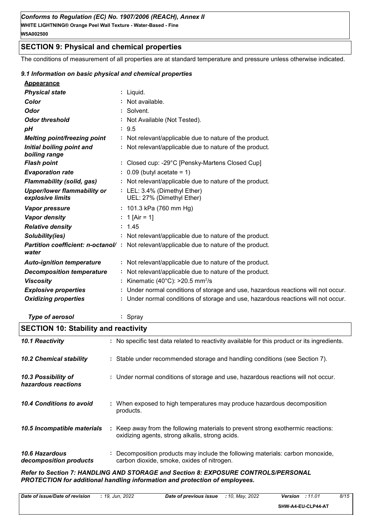#### **SECTION 9: Physical and chemical properties**

The conditions of measurement of all properties are at standard temperature and pressure unless otherwise indicated.

#### *9.1 Information on basic physical and chemical properties*

| Appearance |  |
|------------|--|
|            |  |

| <b>Physical state</b>               | : Liquid.                                                                                        |
|-------------------------------------|--------------------------------------------------------------------------------------------------|
| Color                               | : Not available.                                                                                 |
| <b>Odor</b>                         | : Solvent.                                                                                       |
| <b>Odor threshold</b>               | : Not Available (Not Tested).                                                                    |
| pH                                  | : 9.5                                                                                            |
| <b>Melting point/freezing point</b> | : Not relevant/applicable due to nature of the product.                                          |
| Initial boiling point and           | : Not relevant/applicable due to nature of the product.                                          |
| boiling range                       |                                                                                                  |
| <b>Flash point</b>                  | : Closed cup: -29°C [Pensky-Martens Closed Cup]                                                  |
| <b>Evaporation rate</b>             | $: 0.09$ (butyl acetate = 1)                                                                     |
| <b>Flammability (solid, gas)</b>    | : Not relevant/applicable due to nature of the product.                                          |
| <b>Upper/lower flammability or</b>  | : LEL: 3.4% (Dimethyl Ether)                                                                     |
| explosive limits                    | UEL: 27% (Dimethyl Ether)                                                                        |
| Vapor pressure                      | : $101.3$ kPa (760 mm Hg)                                                                        |
| <b>Vapor density</b>                | : 1 [Air = 1]                                                                                    |
| <b>Relative density</b>             | : 1.45                                                                                           |
| Solubility(ies)                     | : Not relevant/applicable due to nature of the product.                                          |
| water                               | <b>Partition coefficient: n-octanol/</b> : Not relevant/applicable due to nature of the product. |
| <b>Auto-ignition temperature</b>    | : Not relevant/applicable due to nature of the product.                                          |
| <b>Decomposition temperature</b>    | : Not relevant/applicable due to nature of the product.                                          |
| <b>Viscosity</b>                    | : Kinematic (40°C): >20.5 mm <sup>2</sup> /s                                                     |
| <b>Explosive properties</b>         | : Under normal conditions of storage and use, hazardous reactions will not occur.                |
| <b>Oxidizing properties</b>         | : Under normal conditions of storage and use, hazardous reactions will not occur.                |
|                                     |                                                                                                  |

*Type of aerosol* **:** Spray

### **SECTION 10: Stability and reactivity**

| 10.1 Reactivity                            | : No specific test data related to reactivity available for this product or its ingredients.                                        |
|--------------------------------------------|-------------------------------------------------------------------------------------------------------------------------------------|
| <b>10.2 Chemical stability</b>             | : Stable under recommended storage and handling conditions (see Section 7).                                                         |
| 10.3 Possibility of<br>hazardous reactions | : Under normal conditions of storage and use, hazardous reactions will not occur.                                                   |
| 10.4 Conditions to avoid                   | : When exposed to high temperatures may produce hazardous decomposition<br>products.                                                |
| 10.5 Incompatible materials                | : Keep away from the following materials to prevent strong exothermic reactions:<br>oxidizing agents, strong alkalis, strong acids. |
| 10.6 Hazardous<br>decomposition products   | Decomposition products may include the following materials: carbon monoxide,<br>÷.<br>carbon dioxide, smoke, oxides of nitrogen.    |

*Refer to Section 7: HANDLING AND STORAGE and Section 8: EXPOSURE CONTROLS/PERSONAL PROTECTION for additional handling information and protection of employees.*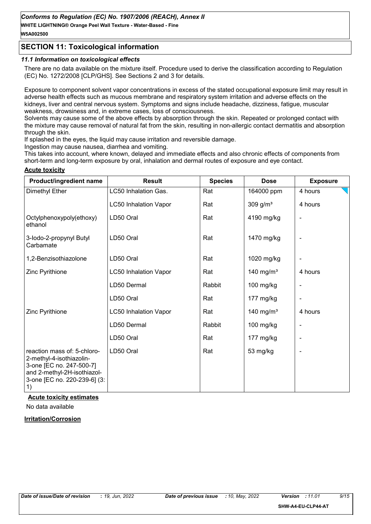**WHITE LIGHTNING® Orange Peel Wall Texture - Water-Based - Fine W5A002500**

#### **SECTION 11: Toxicological information**

#### *11.1 Information on toxicological effects*

There are no data available on the mixture itself. Procedure used to derive the classification according to Regulation (EC) No. 1272/2008 [CLP/GHS]. See Sections 2 and 3 for details.

Exposure to component solvent vapor concentrations in excess of the stated occupational exposure limit may result in adverse health effects such as mucous membrane and respiratory system irritation and adverse effects on the kidneys, liver and central nervous system. Symptoms and signs include headache, dizziness, fatigue, muscular weakness, drowsiness and, in extreme cases, loss of consciousness.

Solvents may cause some of the above effects by absorption through the skin. Repeated or prolonged contact with the mixture may cause removal of natural fat from the skin, resulting in non-allergic contact dermatitis and absorption through the skin.

If splashed in the eyes, the liquid may cause irritation and reversible damage.

Ingestion may cause nausea, diarrhea and vomiting.

This takes into account, where known, delayed and immediate effects and also chronic effects of components from short-term and long-term exposure by oral, inhalation and dermal routes of exposure and eve contact.

#### **Acute toxicity**

| Product/ingredient name                                                                                                                                                                              | <b>Result</b>                | <b>Species</b> | <b>Dose</b>           | <b>Exposure</b> |
|------------------------------------------------------------------------------------------------------------------------------------------------------------------------------------------------------|------------------------------|----------------|-----------------------|-----------------|
| Dimethyl Ether                                                                                                                                                                                       | LC50 Inhalation Gas.         | Rat            | 164000 ppm            | 4 hours         |
|                                                                                                                                                                                                      | <b>LC50 Inhalation Vapor</b> | Rat            | 309 g/ $m3$           | 4 hours         |
| Octylphenoxypoly(ethoxy)<br>ethanol                                                                                                                                                                  | LD50 Oral                    | Rat            | 4190 mg/kg            |                 |
| 3-lodo-2-propynyl Butyl<br>Carbamate                                                                                                                                                                 | LD50 Oral                    | Rat            | 1470 mg/kg            |                 |
| 1,2-Benzisothiazolone                                                                                                                                                                                | LD50 Oral                    | Rat            | 1020 mg/kg            |                 |
| Zinc Pyrithione                                                                                                                                                                                      | <b>LC50 Inhalation Vapor</b> | Rat            | 140 mg/m <sup>3</sup> | 4 hours         |
|                                                                                                                                                                                                      | LD50 Dermal                  | Rabbit         | 100 mg/kg             |                 |
|                                                                                                                                                                                                      | LD50 Oral                    | Rat            | 177 mg/kg             |                 |
| Zinc Pyrithione                                                                                                                                                                                      | <b>LC50 Inhalation Vapor</b> | Rat            | 140 mg/m <sup>3</sup> | 4 hours         |
|                                                                                                                                                                                                      | LD50 Dermal                  | Rabbit         | $100$ mg/kg           |                 |
|                                                                                                                                                                                                      | LD50 Oral                    | Rat            | 177 mg/kg             |                 |
| reaction mass of: 5-chloro-<br>2-methyl-4-isothiazolin-<br>3-one [EC no. 247-500-7]<br>and 2-methyl-2H-isothiazol-<br>3-one [EC no. 220-239-6] (3:<br>$\left( \begin{matrix} 1 \end{matrix} \right)$ | LD50 Oral                    | Rat            | 53 mg/kg              |                 |

#### **Acute toxicity estimates**

No data available

#### **Irritation/Corrosion**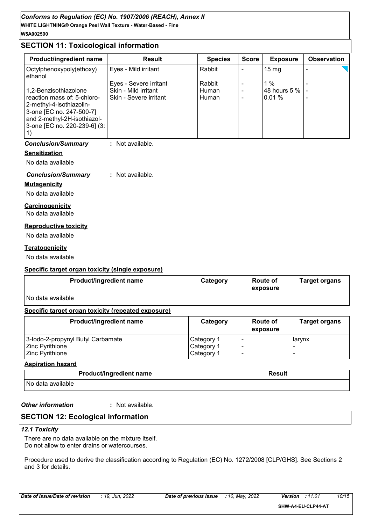#### **SECTION 11: Toxicological information**

| Product/ingredient name                                                                                                                            | <b>Result</b>          | <b>Species</b> | <b>Score</b> | <b>Exposure</b> | <b>Observation</b> |
|----------------------------------------------------------------------------------------------------------------------------------------------------|------------------------|----------------|--------------|-----------------|--------------------|
| Octylphenoxypoly(ethoxy)<br>ethanol                                                                                                                | Eyes - Mild irritant   | Rabbit         |              | $15 \text{ mg}$ |                    |
|                                                                                                                                                    | Eyes - Severe irritant | Rabbit         |              | $1\%$           |                    |
| 1,2-Benzisothiazolone                                                                                                                              | Skin - Mild irritant   | Human          |              | 48 hours 5 %    |                    |
| reaction mass of: 5-chloro-<br>2-methyl-4-isothiazolin-<br>3-one [EC no. 247-500-7]<br>and 2-methyl-2H-isothiazol-<br>3-one [EC no. 220-239-6] (3: | Skin - Severe irritant | <b>Human</b>   |              | $0.01\%$        |                    |

#### *Conclusion/Summary* **:** Not available.

#### **Sensitization**

No data available

#### *Conclusion/Summary* **:** Not available.

**Mutagenicity**

No data available

#### **Carcinogenicity**

No data available

#### **Reproductive toxicity**

No data available

#### **Teratogenicity**

No data available

#### **Specific target organ toxicity (single exposure)**

| <b>Product/ingredient name</b> | Category | Route of<br>exposure | <b>Target organs</b> |
|--------------------------------|----------|----------------------|----------------------|
| No data available              |          |                      |                      |

#### **Specific target organ toxicity (repeated exposure)**

| Product/ingredient name           | Category   | <b>Route of</b><br>exposure | <b>Target organs</b> |
|-----------------------------------|------------|-----------------------------|----------------------|
| 3-lodo-2-propynyl Butyl Carbamate | Category 1 |                             | larynx               |
| Zinc Pyrithione                   | Category 1 |                             |                      |
| <b>Zinc Pyrithione</b>            | Category 1 |                             |                      |

#### **Aspiration hazard**

| <b>Product/ingredient name</b> | Result |
|--------------------------------|--------|
| No data available              |        |

*Other information* **:**

: Not available.

#### **SECTION 12: Ecological information**

#### *12.1 Toxicity*

There are no data available on the mixture itself. Do not allow to enter drains or watercourses.

Procedure used to derive the classification according to Regulation (EC) No. 1272/2008 [CLP/GHS]. See Sections 2 and 3 for details.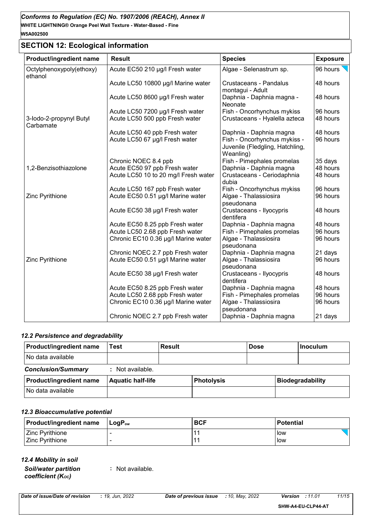### **SECTION 12: Ecological information**

| Product/ingredient name              | <b>Result</b>                        | <b>Species</b>                                                               | <b>Exposure</b> |
|--------------------------------------|--------------------------------------|------------------------------------------------------------------------------|-----------------|
| Octylphenoxypoly(ethoxy)<br>ethanol  | Acute EC50 210 µg/l Fresh water      | Algae - Selenastrum sp.                                                      | 96 hours        |
|                                      | Acute LC50 10800 µg/l Marine water   | Crustaceans - Pandalus<br>montagui - Adult                                   | 48 hours        |
|                                      | Acute LC50 8600 µg/l Fresh water     | Daphnia - Daphnia magna -<br>Neonate                                         | 48 hours        |
|                                      | Acute LC50 7200 µg/l Fresh water     | Fish - Oncorhynchus mykiss                                                   | 96 hours        |
| 3-lodo-2-propynyl Butyl<br>Carbamate | Acute LC50 500 ppb Fresh water       | Crustaceans - Hyalella azteca                                                | 48 hours        |
|                                      | Acute LC50 40 ppb Fresh water        | Daphnia - Daphnia magna                                                      | 48 hours        |
|                                      | Acute LC50 67 µg/l Fresh water       | Fish - Oncorhynchus mykiss -<br>Juvenile (Fledgling, Hatchling,<br>Weanling) | 96 hours        |
|                                      | Chronic NOEC 8.4 ppb                 | Fish - Pimephales promelas                                                   | 35 days         |
| 1,2-Benzisothiazolone                | Acute EC50 97 ppb Fresh water        | Daphnia - Daphnia magna                                                      | 48 hours        |
|                                      | Acute LC50 10 to 20 mg/l Fresh water | Crustaceans - Ceriodaphnia<br>dubia                                          | 48 hours        |
|                                      | Acute LC50 167 ppb Fresh water       | Fish - Oncorhynchus mykiss                                                   | 96 hours        |
| Zinc Pyrithione                      | Acute EC50 0.51 µg/l Marine water    | Algae - Thalassiosira<br>pseudonana                                          | 96 hours        |
|                                      | Acute EC50 38 µg/l Fresh water       | Crustaceans - Ilyocypris<br>dentifera                                        | 48 hours        |
|                                      | Acute EC50 8.25 ppb Fresh water      | Daphnia - Daphnia magna                                                      | 48 hours        |
|                                      | Acute LC50 2.68 ppb Fresh water      | Fish - Pimephales promelas                                                   | 96 hours        |
|                                      | Chronic EC10 0.36 µg/l Marine water  | Algae - Thalassiosira<br>pseudonana                                          | 96 hours        |
|                                      | Chronic NOEC 2.7 ppb Fresh water     | Daphnia - Daphnia magna                                                      | 21 days         |
| Zinc Pyrithione                      | Acute EC50 0.51 µg/l Marine water    | Algae - Thalassiosira<br>pseudonana                                          | 96 hours        |
|                                      | Acute EC50 38 µg/l Fresh water       | Crustaceans - Ilyocypris<br>dentifera                                        | 48 hours        |
|                                      | Acute EC50 8.25 ppb Fresh water      | Daphnia - Daphnia magna                                                      | 48 hours        |
|                                      | Acute LC50 2.68 ppb Fresh water      | Fish - Pimephales promelas                                                   | 96 hours        |
|                                      | Chronic EC10 0.36 µg/l Marine water  | Algae - Thalassiosira<br>pseudonana                                          | 96 hours        |
|                                      | Chronic NOEC 2.7 ppb Fresh water     | Daphnia - Daphnia magna                                                      | 21 days         |

#### *12.2 Persistence and degradability*

| <b>Product/ingredient name</b> | Test                     | Result |                   | <b>Dose</b> | <b>Inoculum</b>         |
|--------------------------------|--------------------------|--------|-------------------|-------------|-------------------------|
| No data available              |                          |        |                   |             |                         |
| <b>Conclusion/Summary</b>      | : Not available.         |        |                   |             |                         |
| <b>Product/ingredient name</b> | <b>Aquatic half-life</b> |        | <b>Photolysis</b> |             | <b>Biodegradability</b> |
| l No data available            |                          |        |                   |             |                         |

#### *12.3 Bioaccumulative potential*

| <b>Product/ingredient name</b> | ⊺LoqP <sub>ow</sub> | <b>BCF</b> | <b>Potential</b> |
|--------------------------------|---------------------|------------|------------------|
| Zinc Pyrithione                |                     |            | low              |
| <b>Zinc Pyrithione</b>         |                     |            | low              |

*12.4 Mobility in soil*

*Soil/water partition coefficient (KOC)*

**:** Not available.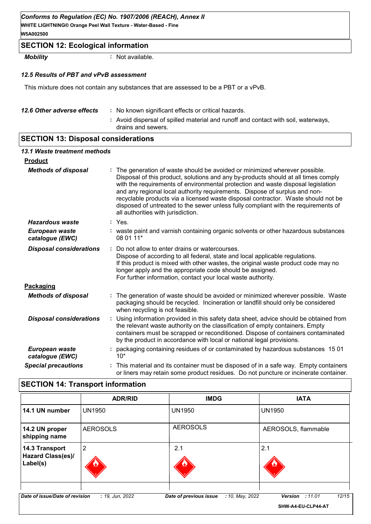#### *Conforms to Regulation (EC) No. 1907/2006 (REACH), Annex II*

**WHITE LIGHTNING® Orange Peel Wall Texture - Water-Based - Fine W5A002500**

#### **SECTION 12: Ecological information**

*Mobility* **:** Not available.

#### *12.5 Results of PBT and vPvB assessment*

This mixture does not contain any substances that are assessed to be a PBT or a vPvB.

| 12.6 Other adverse effects | : No known significant effects or critical hazards.                                                      |
|----------------------------|----------------------------------------------------------------------------------------------------------|
|                            | : Avoid dispersal of spilled material and runoff and contact with soil, waterways,<br>drains and sewers. |

#### **SECTION 13: Disposal considerations**

| 13.1 Waste treatment methods      |                                                                                                                                                                                                                                                                                                                                                                                                                                                                                                                                                      |  |
|-----------------------------------|------------------------------------------------------------------------------------------------------------------------------------------------------------------------------------------------------------------------------------------------------------------------------------------------------------------------------------------------------------------------------------------------------------------------------------------------------------------------------------------------------------------------------------------------------|--|
| <b>Product</b>                    |                                                                                                                                                                                                                                                                                                                                                                                                                                                                                                                                                      |  |
| <b>Methods of disposal</b>        | : The generation of waste should be avoided or minimized wherever possible.<br>Disposal of this product, solutions and any by-products should at all times comply<br>with the requirements of environmental protection and waste disposal legislation<br>and any regional local authority requirements. Dispose of surplus and non-<br>recyclable products via a licensed waste disposal contractor. Waste should not be<br>disposed of untreated to the sewer unless fully compliant with the requirements of<br>all authorities with jurisdiction. |  |
| <b>Hazardous waste</b>            |                                                                                                                                                                                                                                                                                                                                                                                                                                                                                                                                                      |  |
| European waste<br>catalogue (EWC) | : waste paint and varnish containing organic solvents or other hazardous substances<br>08 01 11*                                                                                                                                                                                                                                                                                                                                                                                                                                                     |  |
| <b>Disposal considerations</b>    | Do not allow to enter drains or watercourses.<br>Dispose of according to all federal, state and local applicable regulations.<br>If this product is mixed with other wastes, the original waste product code may no<br>longer apply and the appropriate code should be assigned.<br>For further information, contact your local waste authority.                                                                                                                                                                                                     |  |
| Packaging                         |                                                                                                                                                                                                                                                                                                                                                                                                                                                                                                                                                      |  |
| <b>Methods of disposal</b>        | : The generation of waste should be avoided or minimized wherever possible. Waste<br>packaging should be recycled. Incineration or landfill should only be considered<br>when recycling is not feasible.                                                                                                                                                                                                                                                                                                                                             |  |
| <b>Disposal considerations</b>    | : Using information provided in this safety data sheet, advice should be obtained from<br>the relevant waste authority on the classification of empty containers. Empty<br>containers must be scrapped or reconditioned. Dispose of containers contaminated<br>by the product in accordance with local or national legal provisions.                                                                                                                                                                                                                 |  |
| European waste<br>catalogue (EWC) | : packaging containing residues of or contaminated by hazardous substances 1501                                                                                                                                                                                                                                                                                                                                                                                                                                                                      |  |
| <b>Special precautions</b>        | This material and its container must be disposed of in a safe way. Empty containers<br>or liners may retain some product residues. Do not puncture or incinerate container.                                                                                                                                                                                                                                                                                                                                                                          |  |

#### **SECTION 14: Transport information**

|                                                        | <b>ADR/RID</b>  | <b>IMDG</b>                               | <b>IATA</b>                                             |
|--------------------------------------------------------|-----------------|-------------------------------------------|---------------------------------------------------------|
| 14.1 UN number                                         | <b>UN1950</b>   | <b>UN1950</b>                             | <b>UN1950</b>                                           |
| 14.2 UN proper<br>shipping name                        | <b>AEROSOLS</b> | <b>AEROSOLS</b>                           | AEROSOLS, flammable                                     |
| 14.3 Transport<br><b>Hazard Class(es)/</b><br>Label(s) | 2<br><u>o,</u>  | 2.1                                       | 2.1                                                     |
| Date of issue/Date of revision                         | : 19, Jun, 2022 | Date of previous issue<br>: 10, May, 2022 | 12/15<br><b>Version</b><br>:11.01<br>SHW-A4-EU-CLP44-AT |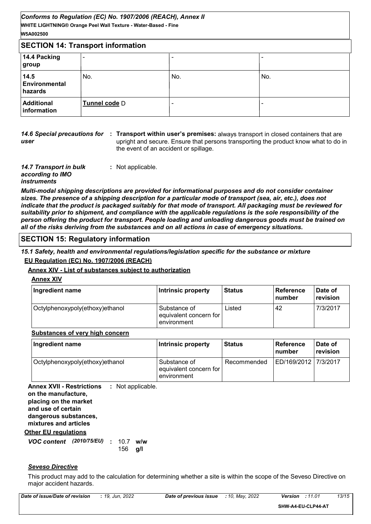| Conforms to Regulation (EC) No. 1907/2006 (REACH), Annex II    |
|----------------------------------------------------------------|
| WHITE LIGHTNING® Orange Peel Wall Texture - Water-Based - Fine |
| W5A002500                                                      |
|                                                                |

| <b>SECTION 14: Transport information</b> |               |     |     |
|------------------------------------------|---------------|-----|-----|
| 14.4 Packing<br>group                    | -             | -   |     |
| 14.5<br><b>Environmental</b><br>hazards  | No.           | No. | No. |
| <b>Additional</b><br>information         | Tunnel code D | -   |     |

*user*

**14.6 Special precautions for : Transport within user's premises: always transport in closed containers that are** upright and secure. Ensure that persons transporting the product know what to do in the event of an accident or spillage.

*14.7 Transport in bulk according to IMO instruments* **:** Not applicable.

*Multi-modal shipping descriptions are provided for informational purposes and do not consider container sizes. The presence of a shipping description for a particular mode of transport (sea, air, etc.), does not indicate that the product is packaged suitably for that mode of transport. All packaging must be reviewed for suitability prior to shipment, and compliance with the applicable regulations is the sole responsibility of the person offering the product for transport. People loading and unloading dangerous goods must be trained on all of the risks deriving from the substances and on all actions in case of emergency situations.*

#### **SECTION 15: Regulatory information**

*15.1 Safety, health and environmental regulations/legislation specific for the substance or mixture* **EU Regulation (EC) No. 1907/2006 (REACH)**

#### **Annex XIV - List of substances subject to authorization**

**Annex XIV**

| Ingredient name                 | Intrinsic property                                    | <b>Status</b> | ∣ Reference<br><b>Inumber</b> | Date of<br>revision |
|---------------------------------|-------------------------------------------------------|---------------|-------------------------------|---------------------|
| Octylphenoxypoly(ethoxy)ethanol | Substance of<br>equivalent concern for<br>environment | ∟isted<br>42  |                               | 7/3/2017            |

#### **Substances of very high concern**

| Ingredient name                 | Intrinsic property                                    | l Status    | <b>Reference</b><br>∣number | Date of<br>revision |
|---------------------------------|-------------------------------------------------------|-------------|-----------------------------|---------------------|
| Octylphenoxypoly(ethoxy)ethanol | Substance of<br>equivalent concern for<br>environment | Recommended | ED/169/2012   7/3/2017      |                     |

**Other EU regulations Annex XVII - Restrictions :** Not applicable. **on the manufacture, placing on the market and use of certain dangerous substances, mixtures and articles**

*VOC content (2010/75/EU)* : 10.7 w/w

### **g/l** 156

#### *Seveso Directive*

This product may add to the calculation for determining whether a site is within the scope of the Seveso Directive on major accident hazards.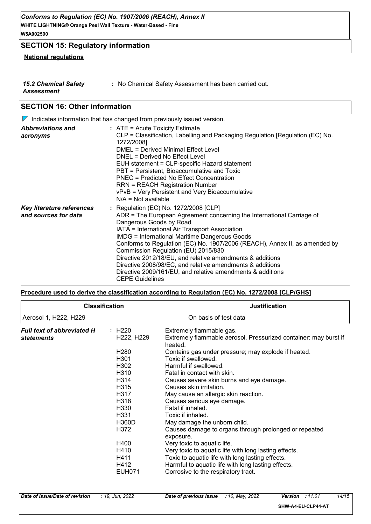#### **SECTION 15: Regulatory information**

#### **National regulations**

| <b>15.2 Chemical Safety</b> | : No Chemical Safety Assessment has been carried out. |
|-----------------------------|-------------------------------------------------------|
| Assessment                  |                                                       |

#### **SECTION 16: Other information**

| $\nabla$ Indicates information that has changed from previously issued version. |                                                                                                                                                                                                                                                                                                                                                                                                                                                                                                                                                                                            |  |
|---------------------------------------------------------------------------------|--------------------------------------------------------------------------------------------------------------------------------------------------------------------------------------------------------------------------------------------------------------------------------------------------------------------------------------------------------------------------------------------------------------------------------------------------------------------------------------------------------------------------------------------------------------------------------------------|--|
| <b>Abbreviations and</b><br>acronyms                                            | $:$ ATE = Acute Toxicity Estimate<br>CLP = Classification, Labelling and Packaging Regulation [Regulation (EC) No.<br>1272/2008]<br><b>DMEL = Derived Minimal Effect Level</b><br>DNEL = Derived No Effect Level<br>EUH statement = CLP-specific Hazard statement<br>PBT = Persistent, Bioaccumulative and Toxic<br>PNEC = Predicted No Effect Concentration<br><b>RRN = REACH Registration Number</b><br>vPvB = Very Persistent and Very Bioaccumulative<br>$N/A = Not available$                                                                                                         |  |
| Key literature references<br>and sources for data                               | : Regulation (EC) No. 1272/2008 [CLP]<br>ADR = The European Agreement concerning the International Carriage of<br>Dangerous Goods by Road<br>IATA = International Air Transport Association<br><b>IMDG = International Maritime Dangerous Goods</b><br>Conforms to Regulation (EC) No. 1907/2006 (REACH), Annex II, as amended by<br>Commission Regulation (EU) 2015/830<br>Directive 2012/18/EU, and relative amendments & additions<br>Directive 2008/98/EC, and relative amendments & additions<br>Directive 2009/161/EU, and relative amendments & additions<br><b>CEPE Guidelines</b> |  |

#### **Procedure used to derive the classification according to Regulation (EC) No. 1272/2008 [CLP/GHS]**

|                                   | <b>Classification</b>               | <b>Justification</b>                                                        |
|-----------------------------------|-------------------------------------|-----------------------------------------------------------------------------|
| Aerosol 1, H222, H229             |                                     | On basis of test data                                                       |
| <b>Full text of abbreviated H</b> | : H220                              | Extremely flammable gas.                                                    |
| statements                        | H <sub>222</sub> , H <sub>229</sub> | Extremely flammable aerosol. Pressurized container: may burst if<br>heated. |
|                                   | H280                                | Contains gas under pressure; may explode if heated.                         |
|                                   | H <sub>301</sub>                    | Toxic if swallowed.                                                         |
|                                   | H302                                | Harmful if swallowed.                                                       |
|                                   | H310                                | Fatal in contact with skin.                                                 |
|                                   | H314                                | Causes severe skin burns and eye damage.                                    |
|                                   | H315                                | Causes skin irritation.                                                     |
|                                   | H317                                | May cause an allergic skin reaction.                                        |
|                                   | H318                                | Causes serious eye damage.                                                  |
|                                   | H330                                | Fatal if inhaled.                                                           |
|                                   | H331                                | Toxic if inhaled.                                                           |
|                                   | H360D                               | May damage the unborn child.                                                |
|                                   | H372                                | Causes damage to organs through prolonged or repeated<br>exposure.          |
|                                   | H400                                | Very toxic to aquatic life.                                                 |
|                                   | H410                                | Very toxic to aquatic life with long lasting effects.                       |
|                                   | H411                                | Toxic to aquatic life with long lasting effects.                            |
|                                   | H412                                | Harmful to aquatic life with long lasting effects.                          |
|                                   | <b>EUH071</b>                       | Corrosive to the respiratory tract.                                         |